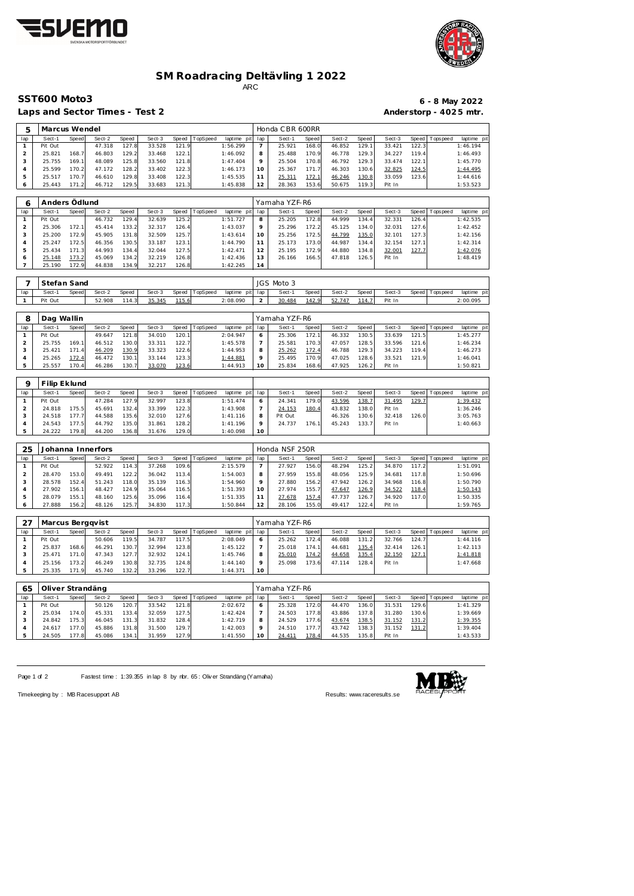



## **SM Roadracing Deltävling 1 2022** ARC

Laps and Sector Times - Test 2 **Anderstorp - 4025 mtr.** 

## **SST600 Moto3 6 - 8 May 2022**

| 5                              | Marcus Wendel         |                  |                  |                |                  |                |               |                         | Honda CBR 600RR                      |                      |                       |                  |                |                  |                |                |                         |  |  |  |
|--------------------------------|-----------------------|------------------|------------------|----------------|------------------|----------------|---------------|-------------------------|--------------------------------------|----------------------|-----------------------|------------------|----------------|------------------|----------------|----------------|-------------------------|--|--|--|
| lap                            | Sect-1                | Speed            | Sect-2           | Speed          | Sect-3           | Speed          | TopSpeed      | laptime pit             | lap                                  | Sect-1               | Speed                 | Sect-2           | Speed          | Sect-3           | Speed          | Tops peed      | laptime pit             |  |  |  |
| $\mathbf{1}$                   | Pit Out               |                  | 47.318           | 127.8          | 33.528           | 121.9          |               | 1:56.299                | $\overline{7}$                       | 25.921               | 168.0                 | 46.852           | 129.1          | 33.421           | 122.3          |                | 1:46.194                |  |  |  |
| $\overline{a}$                 | 25.821                | 168.7            | 46.803           | 129.2          | 33.468           | 122.1          |               | 1:46.092                | 8                                    | 25.488               | 170.9                 | 46.778           | 129.3          | 34.227           | 119.4          |                | 1:46.493                |  |  |  |
| 3                              | 25.755                | 169.1            | 48.089           | 125.8          | 33.560           | 121.8          |               | 1:47.404                | 9                                    | 25.504               | 170.8                 | 46.792           | 129.3          | 33.474           | 122.1          |                | 1:45.770                |  |  |  |
| 4                              | 25.599                | 170.2            | 47.172           | 128.2          | 33.402           | 122.3          |               | 1:46.173                | 10                                   | 25.367               | 171.7                 | 46.303           | 130.6          | 32.825           | 124.5          |                | 1:44.495                |  |  |  |
| 5<br>6                         | 25.517<br>25.443      | 170.7<br>171.2   | 46.610<br>46.712 | 129.8<br>129.5 | 33.408<br>33.683 | 122.3<br>121.3 |               | 1:45.535<br>1:45.838    | 11<br>12                             | 25.311<br>28.363     | 172.1<br>153.6        | 46.246<br>50.675 | 130.8<br>119.3 | 33.059<br>Pit In | 123.6          |                | 1:44.616<br>1:53.523    |  |  |  |
|                                |                       |                  |                  |                |                  |                |               |                         |                                      |                      |                       |                  |                |                  |                |                |                         |  |  |  |
| 6                              | Anders Ödlund         |                  |                  |                |                  |                |               |                         |                                      |                      | Yamaha YZF-R6         |                  |                |                  |                |                |                         |  |  |  |
| lap                            | Sect-1                | Speed            | Sect-2           | Speed          | Sect-3           | Speed          | TopSpeed      | laptime pit             | lap                                  | Sect-1               | Speed                 | Sect-2           | Speed          | Sect-3           | Speed          | Tops peed      | laptime pit             |  |  |  |
| $\mathbf{1}$                   | Pit Out               |                  | 46.732           | 129.4          | 32.639           | 125.2          |               | 1:51.727                | 8                                    | 25.205               | 172.8                 | 44.999           | 134.4          | 32.331           | 126.4          |                | 1:42.535                |  |  |  |
| $\mathbf 2$                    | 25.306                | 172.1            | 45.414           | 133.2          | 32.317           | 126.4          |               | 1:43.037                | 9                                    | 25.296               | 172.2                 | 45.125           | 134.0          | 32.031           | 127.6          |                | 1:42.452                |  |  |  |
| 3                              | 25.200                | 172.9            | 45.905           | 131.8          | 32.509           | 125.7          |               | 1:43.614                | 10                                   | 25.256               | 172.5                 | 44.799           | 135.0          | 32.101           | 127.3          |                | 1:42.156                |  |  |  |
| 4                              | 25.247                | 172.5            | 46.356           | 130.5          | 33.187           | 123.1          |               | 1:44.790                | 11                                   | 25.173               | 173.0                 | 44.987           | 134.4          | 32.154           | 127.1          |                | 1:42.314                |  |  |  |
| 5<br>6                         | 25.434<br>25.148      | 171.3<br>173.2   | 44.993<br>45.069 | 134.4<br>134.2 | 32.044<br>32.219 | 127.5<br>126.8 |               | 1:42.471<br>1:42.436    | 12<br>13                             | 25.195<br>26.166     | 172.9<br>166.5        | 44.880<br>47.818 | 134.8<br>126.5 | 32.001<br>Pit In | 127.7          |                | 1:42.076<br>1:48.419    |  |  |  |
| $\overline{7}$                 | 25.190                | 172.9            | 44.838           | 134.9          | 32.217           | 126.8          |               | 1:42.245                | 14                                   |                      |                       |                  |                |                  |                |                |                         |  |  |  |
|                                |                       |                  |                  |                |                  |                |               |                         |                                      |                      |                       |                  |                |                  |                |                |                         |  |  |  |
| 7                              | Stefan Sand<br>Sect-1 | Speed            | Sect-2           | Speed          | Sect-3           | Speed          | TopSpeed      |                         |                                      | JGS Moto 3<br>Sect-1 | Speed                 | Sect-2           | Speed          | Sect-3           |                |                | laptime pit             |  |  |  |
| lap<br>$\mathbf{1}$            | Pit Out               |                  | 52.908           | 114.3          | 35.345           | 115.6          |               | laptime pit<br>2:08.090 | lap<br>$\overline{2}$                | 30.484               | 142.9                 | 52.747           | 114.7          | Pit In           | Speed          | Tops peed      | 2:00.095                |  |  |  |
|                                |                       |                  |                  |                |                  |                |               |                         |                                      |                      |                       |                  |                |                  |                |                |                         |  |  |  |
| 8                              | Dag Wallin            |                  |                  |                |                  |                | Yamaha YZF-R6 |                         |                                      |                      |                       |                  |                |                  |                |                |                         |  |  |  |
| lap                            | Sect-1                | Speed            | Sect-2           | Speed          | Sect-3           | Speed          | TopSpeed      | laptime pit             | lap                                  | Sect-1               | Speed                 | Sect-2           | Speed          | Sect-3           | Speed          | Tops peed      | laptime pit             |  |  |  |
| $\mathbf{1}$                   | Pit Out               |                  | 49.647           | 121.8          | 34.010           | 120.1          |               | 2:04.947                | 6                                    | 25.306               | 172.1                 | 46.332           | 130.5          | 33.639           | 121.5          |                | 1:45.277                |  |  |  |
| $\overline{a}$<br>3            | 25.755<br>25.421      | 169.1<br>171.4   | 46.512<br>46.209 | 130.0<br>130.9 | 33.311<br>33.323 | 122.7<br>122.6 |               | 1:45.578<br>1:44.953    | $\overline{7}$<br>8                  | 25.581<br>25.262     | 170.3<br>172.4        | 47.057<br>46.788 | 128.5<br>129.3 | 33.596<br>34.223 | 121.6<br>119.4 |                | 1:46.234<br>1:46.273    |  |  |  |
| 4                              | 25.265                | 172.4            | 46.472           | 130.1          | 33.144           | 123.3          |               | 1:44.881                | 9                                    | 25.495               | 170.9                 | 47.025           | 128.6          | 33.521           | 121.9          |                | 1:46.041                |  |  |  |
| 5                              | 25.557                | 170.4            | 46.286           | 130.7          | 33.070           | 123.6          |               | 1:44.913                | 10                                   | 25.834               | 168.6                 | 47.925           | 126.2          | Pit In           |                |                | 1:50.821                |  |  |  |
|                                |                       |                  |                  |                |                  |                |               |                         |                                      |                      |                       |                  |                |                  |                |                |                         |  |  |  |
| 9                              | Filip Eklund          |                  |                  |                |                  |                |               |                         |                                      |                      |                       |                  |                |                  |                |                |                         |  |  |  |
| lap                            | Sect-1                | Speed            | Sect-2           | Speed          | Sect-3           | Speed          | TopSpeed      | laptime pit             | lap                                  | Sect-1               | Speed                 | Sect-2           | Speed          | Sect-3           | Speed          | T ops pee d    | laptime pit             |  |  |  |
| $\mathbf{1}$<br>$\overline{c}$ | Pit Out<br>24.818     | 175.5            | 47.284<br>45.691 | 127.9<br>132.4 | 32.997<br>33.399 | 123.8<br>122.3 |               | 1:51.474<br>1:43.908    | 6<br>$\overline{7}$                  | 24.341<br>24.153     | 179.0<br>180.4        | 43.596<br>43.832 | 138.7<br>138.0 | 31.495<br>Pit In | 129.7          |                | 1:39.432<br>1:36.246    |  |  |  |
| 3                              | 24.518                | 177.7            | 44.588           | 135.6          | 32.010           | 127.6          |               | 1:41.116                | 8                                    | Pit Out              |                       | 46.326           | 130.6          | 32.418           | 126.0          |                | 3:05.763                |  |  |  |
| 4                              | 24.543                | 177.5            | 44.792           | 135.0          | 31.861           | 128.2          |               | 1:41.196                | 9                                    | 24.737               | 176.1                 | 45.243           | 133.7          | Pit In           |                |                | 1:40.663                |  |  |  |
| 5                              | 24.222                | 179.8            | 44.200           | 136.8          | 31.676           | 129.C          |               | 1:40.098                | 10                                   |                      |                       |                  |                |                  |                |                |                         |  |  |  |
|                                |                       |                  |                  |                |                  |                |               |                         |                                      |                      |                       |                  |                |                  |                |                |                         |  |  |  |
| 25                             | Johanna Innerfors     |                  |                  |                |                  |                |               |                         | Honda NSF 250R<br>Speed<br>Tops peed |                      |                       |                  |                |                  |                |                |                         |  |  |  |
| lap<br>$\mathbf{1}$            | Sect-1<br>Pit Out     | Speed            | Sect-2<br>52.922 | Speed<br>114.3 | Sect-3<br>37.268 | Speed<br>109.6 | TopSpeed      | laptime pit<br>2:15.579 | lap<br>7                             | Sect-1<br>27.927     | <b>Speed</b><br>156.0 | Sect-2<br>48.294 | 125.2          | Sect-3<br>34.870 | Speed<br>117.2 |                | laptime pit<br>1:51.091 |  |  |  |
| $\overline{c}$                 | 28.470                | 153.0            | 49.491           | 122.2          | 36.042           | 113.4          |               | 1:54.003                | 8                                    | 27.959               | 155.8                 | 48.056           | 125.9          | 34.681           | 117.8          |                | 1:50.696                |  |  |  |
| 3                              | 28.578                | 152.4            | 51.243           | 118.0          | 35.139           | 116.3          |               | 1:54.960                | 9                                    | 27.880               | 156.2                 | 47.942           | 126.2          | 34.968           | 116.8          |                | 1:50.790                |  |  |  |
| 4                              | 27.902                | 156.1            | 48.427           | 124.9          | 35.064           | 116.5          |               | 1:51.393                | 10                                   | 27.974               | 155.7                 | 47.647           | 126.9          | 34.522           | 118.4          |                | 1:50.143                |  |  |  |
| 5                              | 28.079                | 155.1            | 48.160           | 125.6          | 35.096           | 116.4          |               | 1:51.335                | 11                                   | 27.678               | 157.4                 | 47.737           | 126.7          | 34.920           | 117.0          |                | 1:50.335                |  |  |  |
| 6                              | 27.888                | 156.2            | 48.126           | 125.7          | 34.830           | 117.3          |               | 1:50.844                | $12$                                 | 28.106               | 155.0                 | 49.417           | 122.4          | Pit In           |                |                | 1:59.765                |  |  |  |
| 27                             | Marcus Berggvist      |                  |                  |                |                  |                |               |                         |                                      | Yamaha YZF-R6        |                       |                  |                |                  |                |                |                         |  |  |  |
| lap                            | Sect-1                | Speed            | Sect-2           | Speed          | Sect-3           | Speed          | TopSpeed      | laptime pit             | lap                                  | Sect-1               | Speed                 | Sect-2           | Speed          | Sect-3           | Speed          | Tops pee d     | laptime pit             |  |  |  |
| $\mathbf{1}$                   | Pit Out               |                  | 50.606           | 119.5          | 34.787           | 117.5          |               | 2:08.049                | 6                                    | 25.262               | 172.4                 | 46.088           | 131.2          | 32.766           | 124.7          |                | 1:44.116                |  |  |  |
| $\overline{2}$                 | 25.837                | 168.6            | 46.291           | 130.7          | 32.994           | 123.8          |               | 1:45.122                | $\overline{7}$                       | 25.018               | 174.1                 | 44.681           | 135.4          | 32.414           | 126.1          |                | 1:42.113                |  |  |  |
| 3                              | 25.471                | 171.0            | 47.343           | 127.7          | 32.932           | 124.1          |               | 1:45.746                | 8                                    | 25.010               | 174.2                 | 44.658           | 135.4          | 32.150           | 127.1          |                | 1:41.818                |  |  |  |
| 4<br>5                         | 25.156<br>25.335      | 173.2<br>171.9   | 46.249<br>45.740 | 130.8<br>132.2 | 32.735<br>33.296 | 124.8<br>122.7 |               | 1:44.140<br>1:44.371    | 9<br>10                              | 25.098               | 173.6                 | 47.114           | 128.4          | Pit In           |                |                | 1:47.668                |  |  |  |
|                                |                       |                  |                  |                |                  |                |               |                         |                                      |                      |                       |                  |                |                  |                |                |                         |  |  |  |
| 65                             |                       | Oliver Strandäng |                  |                |                  |                |               |                         |                                      |                      | Yamaha YZF-R6         |                  |                |                  |                |                |                         |  |  |  |
| lap                            | Sect-1                | Speed            | Sect-2           | Speed          | Sect-3           | Speed          | TopSpeed      | laptime pit             | lap                                  | Sect-1               | Speed                 | Sect-2           | Speed          | Sect-3           |                | Speed Topspeed | laptime pit             |  |  |  |
| $\mathbf{1}$                   | Pit Out               |                  | 50.126           | 120.7          | 33.542           | 121.8          |               | 2:02.672                | 6                                    | 25.328               | 172.0                 | 44.470           | 136.0          | 31.531           | 129.6          |                | 1:41.329                |  |  |  |
| $\overline{c}$<br>3            | 25.034<br>24.842      | 174.0<br>175.3   | 45.331<br>46.045 | 133.4<br>131.3 | 32.059<br>31.832 | 127.5<br>128.4 |               | 1:42.424<br>1:42.719    | $\overline{7}$<br>8                  | 24.503<br>24.529     | 177.8<br>177.6        | 43.886<br>43.674 | 137.8<br>138.5 | 31.280<br>31.152 | 130.6<br>131.2 |                | 1:39.669<br>1:39.355    |  |  |  |
| 4                              | 24.617                | 177.0            | 45.886           | 131.8          | 31.500           | 129.7          |               | 1:42.003                | 9                                    | 24.510               | 177.7                 | 43.742           | 138.3          | 31.152           | 131.2          |                | 1:39.404                |  |  |  |
| 5                              | 24.505                | 177.8            | 45.086           | 134.1          | 31.959           | 127.9          |               | 1:41.550                | 10                                   | 24.411               | 178.4                 | 44.535           | 135.8          | Pit In           |                |                | 1:43.533                |  |  |  |
|                                |                       |                  |                  |                |                  |                |               |                         |                                      |                      |                       |                  |                |                  |                |                |                         |  |  |  |

Page 1 of 2 Fastest time : 1:39.355 in lap 8 by nbr. 65 : Oliv er Strandäng (Yamaha)